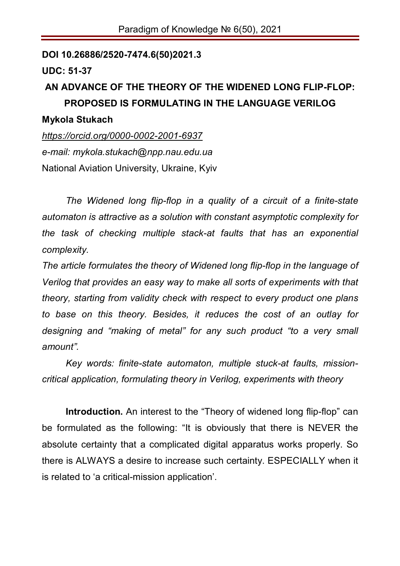**DOI 10.26886/2520-7474.6(50)2021.3**

**UDC: 51-37**

# **AN ADVANCE OF THE THEORY OF THE WIDENED LONG FLIP-FLOP: PROPOSED IS FORMULATING IN THE LANGUAGE VERILOG**

#### **Mykola Stukach**

*https://orcid.org/0000-0002-2001-6937 e-mail: mykola.stukach@npp.nau.edu.ua* National Aviation University, Ukraine, Kyiv

*The Widened long flip-flop in a quality of a circuit of a finite-state automaton is attractive as a solution with constant asymptotic complexity for the task of checking multiple stack-at faults that has an exponential complexity.* 

*The article formulates the theory of Widened long flip-flop in the language of Verilog that provides an easy way to make all sorts of experiments with that theory, starting from validity check with respect to every product one plans to base on this theory. Besides, it reduces the cost of an outlay for designing and "making of metal" for any such product "to a very small amount".*

*Key words: finite-state automaton, multiple stuck-at faults, missioncritical application, formulating theory in Verilog, experiments with theory*

**Introduction.** An interest to the "Theory of widened long flip-flop" can be formulated as the following: "It is obviously that there is NEVER the absolute certainty that a complicated digital apparatus works properly. So there is ALWAYS a desire to increase such certainty. ESPECIALLY when it is related to 'a critical-mission application'.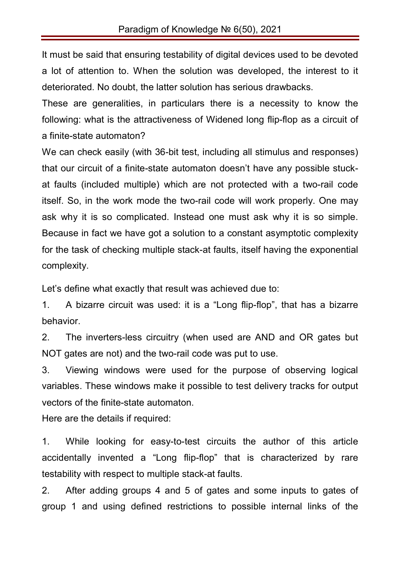It must be said that ensuring testability of digital devices used to be devoted a lot of attention to. When the solution was developed, the interest to it deteriorated. No doubt, the latter solution has serious drawbacks.

These are generalities, in particulars there is a necessity to know the following: what is the attractiveness of Widened long flip-flop as a circuit of a finite-state automaton?

We can check easily (with 36-bit test, including all stimulus and responses) that our circuit of a finite-state automaton doesn't have any possible stuckat faults (included multiple) which are not protected with a two-rail code itself. So, in the work mode the two-rail code will work properly. One may ask why it is so complicated. Instead one must ask why it is so simple. Because in fact we have got a solution to a constant asymptotic complexity for the task of checking multiple stack-at faults, itself having the exponential complexity.

Let's define what exactly that result was achieved due to:

1. A bizarre circuit was used: it is a "Long flip-flop", that has a bizarre behavior.

2. The inverters-less circuitry (when used are AND and OR gates but NOT gates are not) and the two-rail code was put to use.

3. Viewing windows were used for the purpose of observing logical variables. These windows make it possible to test delivery tracks for output vectors of the finite-state automaton.

Here are the details if required:

1. While looking for easy-to-test circuits the author of this article accidentally invented a "Long flip-flop" that is characterized by rare testability with respect to multiple stack-at faults.

2. After adding groups 4 and 5 of gates and some inputs to gates of group 1 and using defined restrictions to possible internal links of the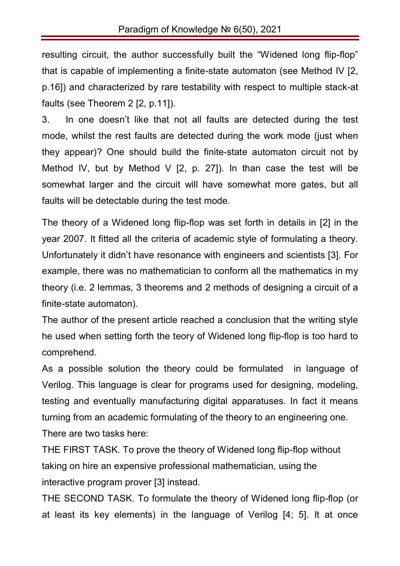resulting circuit, the author successfully built the "Widened long flip-flop" that is capable of implementing a finite-state automaton (see Method IV [2, p.16]) and characterized by rare testability with respect to multiple stack-at faults (see Theorem 2 [2, p.11]).

3. In one doesn't like that not all faults are detected during the test mode, whilst the rest faults are detected during the work mode (just when they appear)? One should build the finite-state automaton circuit not by Method IV, but by Method V  $[2, p. 27]$ ). In than case the test will be somewhat larger and the circuit will have somewhat more gates, but all faults will be detectable during the test mode.

The theory of a Widened long flip-flop was set forth in details in [2] in the year 2007. It fitted all the criteria of academic style of formulating a theory. Unfortunately it didn't have resonance with engineers and scientists [3]. For example, there was no mathematician to conform all the mathematics in my theory (i.e. 2 lemmas, 3 theorems and 2 methods of designing a circuit of a finite-state automaton).

The author of the present article reached a conclusion that the writing style he used when setting forth the teory of Widened long flip-flop is too hard to comprehend.

As a possible solution the theory could be formulated in language of Verilog. This language is clear for programs used for designing, modeling, testing and eventually manufacturing digital apparatuses. In fact it means turning from an academic formulating of the theory to an engineering one. There are two tasks here:

THE FIRST TASK. To prove the theory of Widened long flip-flop without taking on hire an expensive professional mathematician, using the interactive program prover [3] instead.

THE SECOND TASK. To formulate the theory of Widened long flip-flop (or at least its key elements) in the language of Verilog [4; 5]. It at once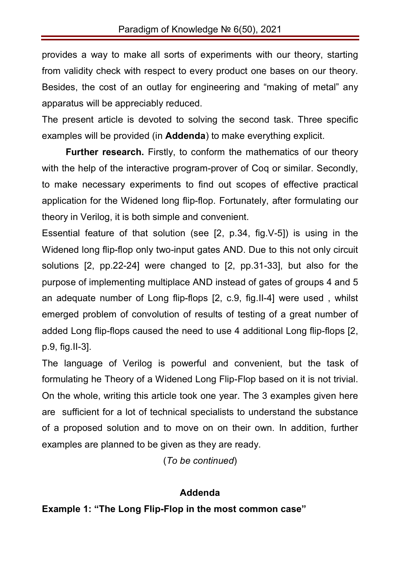provides a way to make all sorts of experiments with our theory, starting from validity check with respect to every product one bases on our theory. Besides, the cost of an outlay for engineering and "making of metal" any apparatus will be appreciably reduced.

The present article is devoted to solving the second task. Three specific examples will be provided (in **Addenda**) to make everything explicit.

**Further research.** Firstly, to conform the mathematics of our theory with the help of the interactive program-prover of Coq or similar. Secondly, to make neсessary experiments to find out scopes of effective practical application for the Widened long flip-flop. Fortunately, after formulating our theory in Verilog, it is both simple and convenient.

Essential feature of that solution (see [2, p.34, fig.V-5]) is using in the Widened long flip-flop only two-input gates AND. Due to this not only circuit solutions [2, pp.22-24] were changed to [2, pp.31-33], but also for the purpose of implementing multiplace AND instead of gates of groups 4 and 5 an adequate number of Long flip-flops [2, с.9, fig.II-4] were used , whilst emerged problem of convolution of results of testing of a great number of added Long flip-flops caused the need to use 4 additional Long flip-flops [2, p.9, fig.II-3].

The language of Verilog is powerful and convenient, but the task of formulating he Theory of a Widened Long Flip-Flop based on it is not trivial. On the whole, writing this article took one year. The 3 examples given here are sufficient for a lot of technical specialists to understand the substance of a proposed solution and to move on on their own. In addition, further examples are planned to be given as they are ready.

(*To be continued*)

#### **Addenda**

**Example 1: "The Long Flip-Flop in the most common case"**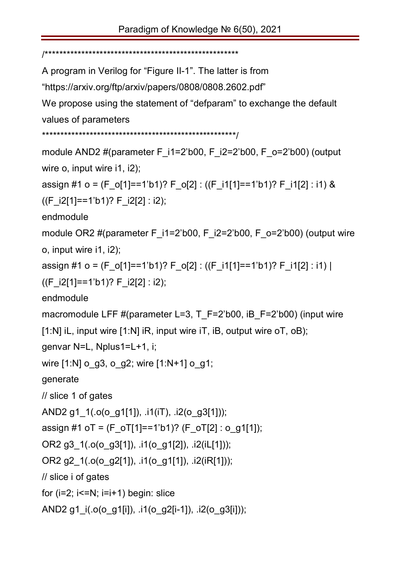/\*\*\*\*\*\*\*\*\*\*\*\*\*\*\*\*\*\*\*\*\*\*\*\*\*\*\*\*\*\*\*\*\*\*\*\*\*\*\*\*\*\*\*\*\*\*\*\*\*\*\*\*\*

A program in Verilog for "Figure II-1". The latter is from

"https://arxiv.org/ftp/arxiv/papers/0808/0808.2602.pdf"

We propose using the statement of "defparam" to exchange the default values of parameters

```
*****************************************************/
```

```
module AND2 #(parameter F_i1=2'b00, F_i2=2'b00, F_o=2'b00) (output
wire o, input wire i1, i2);
assign #1 o = (F_o[1]==1'b1)? F_o[2] : ((F_i1[1]==1'b1)? F_i1[2] : i1) & 
((F i2[1]=-1'b1)? F i2[2] : i2);endmodule 
module OR2 #(parameter F_i1=2'b00, F_i2=2'b00, F_o=2'b00) (output wire
o, input wire i1, i2); 
assign #1 o = (F o[1]==1'b1)? F o[2] : ((F i1[1]==1'b1)? F i1[2] : i1) |
((F i2[1]=-1'b1)? F i2[2] : i2);endmodule 
macromodule LFF #(parameter L=3, T_F=2'b00, iB_F=2'b00) (input wire
[1:N] iL, input wire [1:N] iR, input wire iT, iB, output wire oT, oB);
genvar N=L, Nplus1=L+1, i; 
wire [1:N] o_g3, o_g2; wire [1:N+1] o_g1;
generate 
// slice 1 of gates
AND2 g1_1(.o(o_g1[1]), .i1(iT), .i2(o_g3[1])); 
assign #1 oT = (F_oТ[1]==1'b1)? (F_oТ[2] : o_g1[1]);
OR2 g3 1(.o(o g3[1]), .i1(o g1[2]), .i2(iL[1]));
OR2 g2_1(.o(o_g2[1]), .i1(o_g1[1]), .i2(iR[1]));
// slice i of gates
for (i=2; i<=N; i=i+1) begin: slice
AND2 g1_i(.o(o_g1[i]), .i1(o_g2[i-1]), .i2(o_g3[i]));
```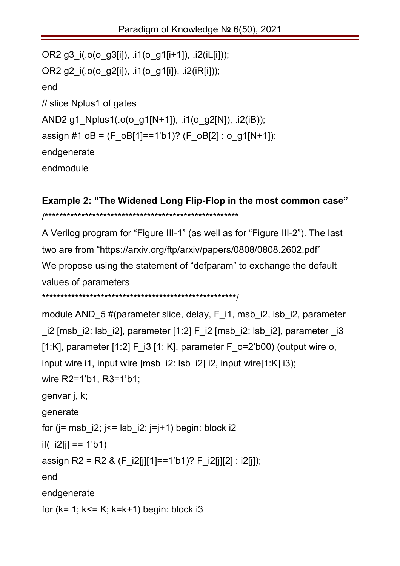```
OR2 g3_i(.o(o_g3[i]), .i1(o_g1[i+1]), .i2(iL[i])); 
OR2 g2 i(.o(o_02[i]), .i1(o_01[i]), .i2(iR[i]));
end 
// slice Nplus1 of gates
AND2 g1_Nplus1(.o(o_g1[N+1]), .i1(o_g2[N]), .i2(iB));
assign #1 oB = (F_oB[1]==1'b1)? (F_oB[2] : o_g1[N+1]);
endgenerate 
endmodule
```
## **Example 2: "The Widened Long Flip-Flop in the most common case"** /\*\*\*\*\*\*\*\*\*\*\*\*\*\*\*\*\*\*\*\*\*\*\*\*\*\*\*\*\*\*\*\*\*\*\*\*\*\*\*\*\*\*\*\*\*\*\*\*\*\*\*\*\*

A Verilog program for "Figure III-1" (as well as for "Figure III-2"). The last two are from "https://arxiv.org/ftp/arxiv/papers/0808/0808.2602.pdf" We propose using the statement of "defparam" to exchange the default values of parameters \*\*\*\*\*\*\*\*\*\*\*\*\*\*\*\*\*\*\*\*\*\*\*\*\*\*\*\*\*\*\*\*\*\*\*\*\*\*\*\*\*\*\*\*\*\*\*\*\*\*\*\*\*/

```
module AND 5 #(parameter slice, delay, F i1, msb i2, lsb i2, parameter
i2 [msb_i2: lsb_i2], parameter [1:2] F_i2 [msb_i2: lsb_i2], parameter -i3
[1:K], parameter [1:2] F_i3 [1: K], parameter F_o=2'b00) (output wire o, 
input wire i1, input wire [msb i2: lsb i2] i2, input wire[1:K] i3);
wire R2=1'b1, R3=1'b1;
genvar j, k; 
generate
for (j = msb i2; j \leq j lsb i2; j=j+1) begin: block i2if(|i2[i] == 1'b1)
assign R2 = R2 & (F_i2[j][1]==1'b1)? F_i2[j][2] : i2[j]);
end
endgenerate
for (k= 1; k<= K; k=k+1) begin: block i3
```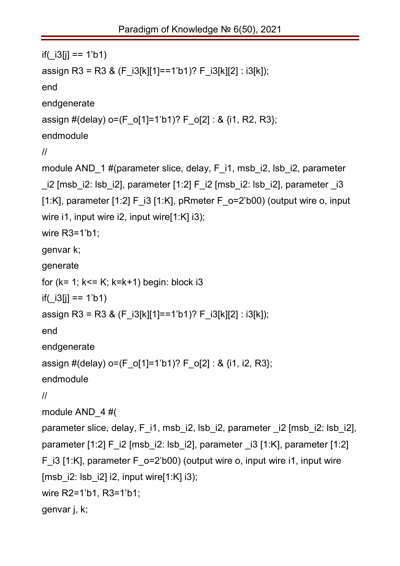```
if( i3[j] == 1'b1)
assign R3 = R3 & (F_i3[k][1]==1'b1)? F_i3[k][2] : i3[k]);
end
endgenerate
assign #(delay) o=(F_o[1]=1'b1)? F_o[2] : & {i1, R2, R3};endmodule 
//
module AND 1#(parameter slice, delay, F i1, msb i2, lsb i2, parameter
i2 [msb_i2: lsb_i2], parameter [1:2] F_i2 [msb_i2: lsb_i2], parameter -i3
[1:K], parameter [1:2] F i3 [1:K], pRmeter F \sigma=2'b00) (output wire o, input
wire i1, input wire i2, input wire[1:K] i3);
wire R3=1'b1;
genvar k; 
generate
for (k= 1; k<= K; k=k+1) begin: block i3
if( i3[i] == 1'b1)assign R3 = R3 & (F_i3[k][1]==1'b1)? F_i3[k][2] : i3[k]);
end
endgenerate
assign #(delay) o=(F_o[1]=1'b1)? F_o[2] : & {i1, i2, R3};endmodule 
//
module AND_4 #(
parameter slice, delay, F i1, msb i2, lsb i2, parameter i2 [msb i2: lsb i2],
parameter [1:2] F i2 [msb i2: lsb i2], parameter i3 [1:K], parameter [1:2]F i3 [1:K], parameter F o=2'b00) (output wire o, input wire i1, input wire
[msb i2: lsb i2] i2, input wire[1:K] i3);
wire R2=1'b1, R3=1'b1;
genvar j, k;
```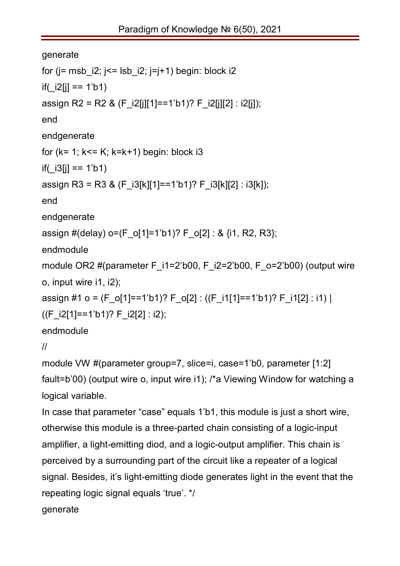```
generate
for (i= msb i2; i= lsb i2; (i=i+1) begin: block i2if( i2[j] == 1'b1)
assign R2 = R2 & (F i2[j][1]==1'b1)? F i2[j][2] : i2[j]);
end
endgenerate
for (k= 1; k<= K; k=k+1) begin: block i3
if( i3[j] == 1'b1)
assign R3 = R3 & (F_i3[k][1]==1'b1)? F_i3[k][2] : i3[k]);
end
endgenerate
assign #(delay) o=(F_o[1]=1'b1)? F_o[2] : & {1, R2, R3};
endmodule 
module OR2 #(parameter F_i1=2'b00, F_i2=2'b00, F_o=2'b00) (output wire
o, input wire i1, i2);
assign #1 o = (F_o[1]==1'b1)? F_o[2] : ((F_i1[1]==1'b1)? F_i1[2] : i1) |
((F i2[1]=-1'b1)? F i2[2] : i2);endmodule 
//
```
module VW #(parameter group=7, slice=i, case=1'b0, parameter [1:2] fault=b'00) (output wire o, input wire i1); /\*a Viewing Window for watching a logical variable.

In case that parameter "case" equals 1'b1, this module is just a short wire, otherwise this module is a three-parted chain consisting of a logic-input amplifier, a light-emitting diod, and a logic-output amplifier. This chain is perceived by a surrounding part of the circuit like a repeater of a logical signal. Besides, it's light-emitting diode generates light in the event that the repeating logic signal equals 'true'. \*/ generate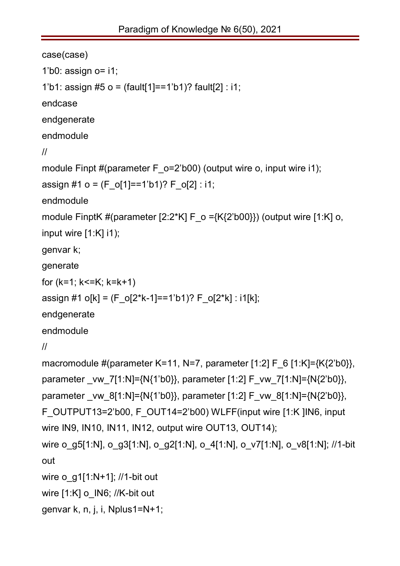```
case(case)
1'b0: assign o= i1;
1'b1: assign #5 o = (fault[1]==1'b1)? fault[2] : i1;
endcase
endgenerate
endmodule 
//
module Finpt #(parameter F_o=2'b00) (output wire o, input wire i1);
assign #1 o = (F_0[1]=-1'b1)? F_0[2] : i1;endmodule
module FinptK #(parameter [2:2*K] F o =\{K\{2'b00\}\}\ (output wire [1:K] o,
input wire [1:K] i1); 
genvar k;
generate 
for (k=1; k<=K; k=k+1)assign #1 o[k] = (F_o[2*k-1]==1'b1)? F_o[2*k] : i1[k];
endgenerate
endmodule
//
macromodule #(parameter K=11, N=7, parameter [1:2] F 6 [1:K]={K{2'b0}},
parameter vw 7[1:N]={N{1'b0}}, parameter [1:2] F vw 7[1:N]={N{2'b0}},
parameter vw 8[1:N]={N{1'b0}}, parameter [1:2] F_vw_8[1:N]={N{2'b0}},
F_OUTPUT13=2'b00, F_OUT14=2'b00) WLFF(input wire [1:K ]IN6, input 
wire IN9, IN10, IN11, IN12, output wire OUT13, OUT14);
wire o_g5[1:N], o_g3[1:N], o_g2[1:N], o_4[1:N], o_v7[1:N], o_v8[1:N]; //1-bit
out 
wire o q1[1:N+1]; //1-bit out
wire [1:K] o IN6; //K-bit out
genvar k, n, j, i, Nplus1=N+1;
```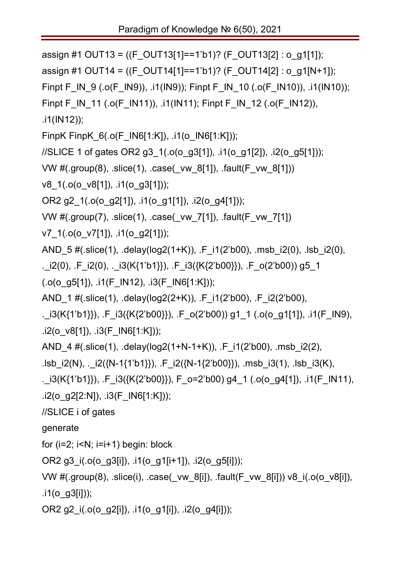```
assign #1 OUT13 = ((F_OUT13[1]==1'b1)? (F_OUT13[2] : o_g1[1]);
```

```
assign #1 OUT14 = ((F_OUT14[1]==1'b1)? (F_OUT14[2] : o_g1[N+1]);
```

```
Finpt F_IN_9 (.o(F_IN9)), .i1(IN9)); Finpt F_IN_10 (.o(F_IN10)), .i1(IN10));
```

```
Finpt F_IN_11 (.o(F_IN11)), .i1(IN11); Finpt F_IN_12 (.o(F_IN12)),
```
.i1(IN12));

- FinpK FinpK  $6(.o(F \, IN6[1:K]),$  .i1(o  $IN6[1:K])$ );
- //SLICE 1 of gates OR2 g3\_1(.o(o\_g3[1]), .i1(o\_g1[2]), .i2(o\_g5[1]));

```
VW #(.group(8), .slice(1), .case(_vw_8[1]), .fault(F_vw_8[1]))
```

```
v8_1(.o(o_v8[1]), .i1(o_g3[1]));
```

```
OR2 g2 1(.o(o g2[1]), .i1(o g1[1]), .i2(o g4[1]));
```

```
VW #(.group(7), .slice(1), .case(_vw_7[1]), .fault(F_vw_7[1])
```
v7\_1(.o(o\_v7[1]), .i1(o\_g2[1]));

```
AND_5 #(.slice(1), .delay(log2(1+K)), .F_i1(2'b00), .msb_i2(0), .lsb_i2(0),
```

```
._i2(0), .F_i2(0), ._i3(K{1'b1}}), .F_i3({K{2'b00}}), .F_o(2'b00)) g5_1
```

```
(.o(o.gg5[1]), .i1(F.IN12), .i3(F.ING[1:K]));
```
AND\_1 #(.slice(1), .delay(log2(2+K)), .F\_i1(2'b00), .F\_i2(2'b00),

```
. i3(K{1'b1}}), F i3({K{2'b00}}), F o(2'b00)) g1_1 (.o(o_g1[1]), .i1(F_IN9),
.i2(o_v8[1]), \cdoti3(F_IN6[1:K]));
```

```
AND_4 #(.slice(1), .delay(log2(1+N-1+K)), .F_i1(2'b00), .msb_i2(2),
```

```
.lsb i2(N), . i2({N-1{1'b1}}), .F_i2({N-1{2'b00}}), .msb_i3(1), .lsb_i3(K),
```

```
. i3(K{1'b1}}), F i3({K{2'b00}}), F o=2'b00) g4_1 (.o(o_g4[1]), .i1(F_IN11),
.i2(o_g2[2:N]), .i3(F_IN6[1:K]));
```
//SLICE i of gates

generate

for  $(i=2; i< N; i=i+1)$  begin: block

OR2 g3 $i(.o(o_g3[i]), .i1(o_g1[i+1]), .i2(o_g5[i]))$ ;

```
VW #(.group(8), .slice(i), .case(_vw_8[i]), .fault(F_vw_8[i])) v8_i(.o(o_v8[i]),
```
 $\cdot$ i1(o\_g3[i]));

OR2 g2\_i(.o(o\_g2[i]), .i1(o\_g1[i]), .i2(o\_g4[i]));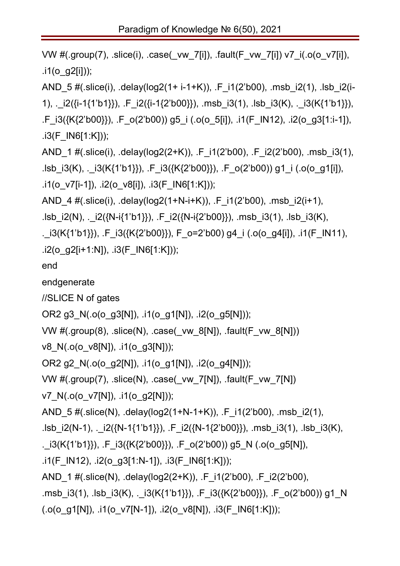```
VW #(.group(7), .slice(i), .case(_vw_7[i]), .fault(F_vw_7[i]) v7_i(.o(o_v7[i]),
\dot{1}(o q2[i]));
AND 5 #(.slice(i), .delay(log2(1+ i-1+K)), .F_i1(2'b00), .msb_i2(1), .lsb_i2(i-
1), ._i2({i-1{1'b1}}), .F_i2({i-1{2'b00}}), .msb_i3(1), .lsb_i3(K), ._i3(K{1'b1}}), 
.F_i3({K{2'b00}}), .F_o(2'b00)) g5_i (.o(o_5[i]), .i1(F_IN12), .i2(o_g3[1:i-1]), 
.i3(F_IN6[1:K]));
AND 1 #(.slice(i), .delay(log2(2+K)), .F_i1(2'b00), .F_i2(2'b00), .msb_i3(1),
.lsb i3(K), . i3(K{1'b1}\}), .F i3({K{2'b00}}), .F o(2'b00)) g1 i (.o(o_g1[i]),
.i1(o_v7[i-1]), .i2(o_v8[i]), .i3(F_IN6[1:K]));
AND 4 #(.slice(i), .delay(log2(1+N-i+K)), .F_i1(2'b00), .msb_i2(i+1),
.lsb i2(N), i2({N-i{1'b1}}), F i2({N-i{2'b00}}), .msb i3(1), .lsb i3(K),
. i3(K{1'b1}}), F i3({K{2'b00}}), F o=2'b00) g4 i (.o(o_g4[i]), .i1(F_IN11),
.i2(o_g2[i+1:N]), .i3(F_IN6[1:K]));
end
endgenerate
//SLICE N of gates
OR2 g3_N(.o(o_g3[N]), .i1(o_g1[N]), .i2(o_g5[N])); 
VW #(.group(8), .slice(N), .case(_vw_8[N]), .fault(F_vw_8[N])) 
v8_N(.o(o_v8[N]), .i1(o_g3[N])); 
OR2 g2_N(.o(o_g2[N]), .i1(o_g1[N]), .i2(o_g4[N])); 
VW #(.group(7), .slice(N), .case( vw 7[N]), .fault(F_vw_7[N])
v7_N(.o(o_v7[N]), .i1(o_g2[N])); 
AND_5 #(.slice(N), .delay(log2(1+N-1+K)), .F_i1(2'b00), .msb_i2(1), 
.lsb_i2(N-1), ._i2({N-1{1'b1}}), .F_i2({N-1{2'b00}}), .msb_i3(1), .lsb_i3(K), 
. i3(K{1'b1}}), F i3({K{2'b00}}), F o(2'b00)) g5 N (.o(o_g5[N]),
.i1(F_IN12), .i2(o_g3[1:N-1]), .i3(F_IN6[1:K]));
AND 1 #(.slice(N), .delay(log2(2+K)), .F_i1(2'b00), .F_i2(2'b00),
.msb_i3(1), .lsb_i3(K), ._i3(K{1'b1}}), .F_i3({K{2'b00}}), .F_o(2'b00)) g1_N 
(.o(o_g1[N]), .i1(o_v7[N-1]), .i2(o_v8[N]), .i3(F_N6[1:K]));
```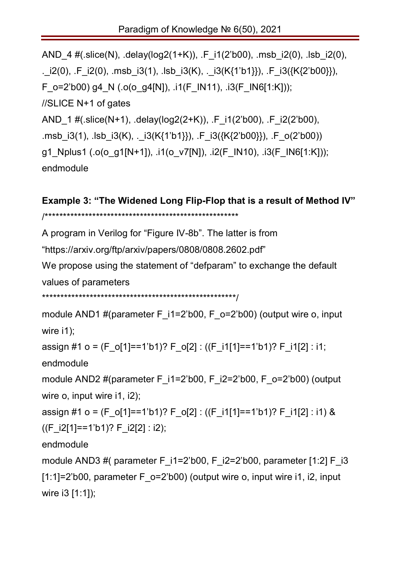```
AND 4 #(.slice(N), .delay(log2(1+K)), .F_i1(2'b00), .msb_i2(0), .lsb_i2(0),
. i2(0), .F_i2(0), .msb_i3(1), .lsb_i3(K), ._i3(K{1'b1}}), .F_i3({K{2'b00}}),
F_o=2'b00) g4_N (.o(o_g4[N]), .i1(F_IN11), .i3(F_IN6[1:K]));
//SLICE N+1 of gates
AND 1 #(.slice(N+1), .delay(log2(2+K)), .F_i1(2'b00), .F_i2(2'b00),
.msb i3(1), .lsb i3(K), . i3(K{1'b1}}), .F i3({K{2'b00}}), .F o(2'b00))
g1_Nplus1 (.o(o_g1[N+1]), .i1(o_v7[N]), .i2(F_IN10), .i3(F_IN6[1:K]));
endmodule
```
## **Example 3: "The Widened Long Flip-Flop that is a result of Method IV"** /\*\*\*\*\*\*\*\*\*\*\*\*\*\*\*\*\*\*\*\*\*\*\*\*\*\*\*\*\*\*\*\*\*\*\*\*\*\*\*\*\*\*\*\*\*\*\*\*\*\*\*\*\*

A program in Verilog for "Figure IV-8b". The latter is from

"https://arxiv.org/ftp/arxiv/papers/0808/0808.2602.pdf"

We propose using the statement of "defparam" to exchange the default values of parameters

```
*****************************************************/
```

```
module AND1 #(parameter F i1=2'b00, F o=2'b00) (output wire o, input
wire i1);
```

```
assign #1 o = (F_o[1]==1'b1)? F_o[2] : ((F_i1[1]==1'b1)? F_i1[2] : i1;
```
endmodule

```
module AND2 #(parameter F_i1=2'b00, F_i2=2'b00, F_o=2'b00) (output
wire o, input wire i1, i2);
```

```
assign #1 o = (F o[1]==1'b1)? F o[2] : ((F i1[1]==1'b1)? F i1[2] : i1) &
```

```
((F_i2[1]==1'b1)? F_i2[2] : i2);
```
endmodule

```
module AND3 #( parameter F_i1=2'b00, F_i2=2'b00, parameter [1:2] F_i3
[1:1]=2'b00, parameter F o=2'b00) (output wire o, input wire i1, i2, input
wire i3 [1:1]);
```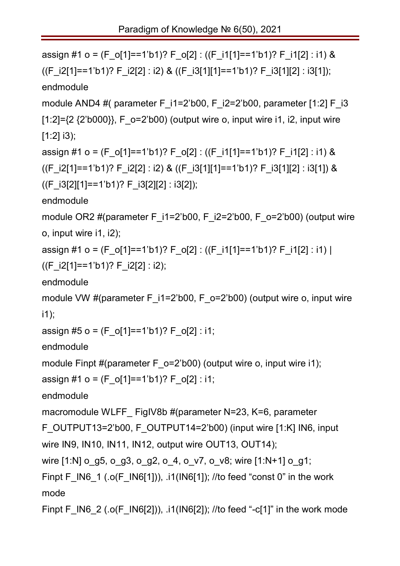```
assign #1 o = (F_o[1]==1'b1)? F_o[2] : ((F_i1[1]==1'b1)? F_i1[2] : i1) &
((F \ i2[1]=1'b1)? F \ i2[2] : i2) & ((F \ i3[1][1]=-1'b1)? F \ i3[1][2] : i3[1]);endmodule
module AND4 #( parameter F_i1=2'b00, F_i2=2'b00, parameter [1:2] F_i3
[1:2]=\{2 \{2\}b000}}, F_o=2'b00) (output wire o, input wire i1, i2, input wire
[1:2] i3);
assign #1 o = (F_o[1]==1'b1)? F_o[2] : ((F_i1[1]==1'b1)? F_i1[2] : i1) &
((F \ i2[1]=1'b1)? F \ i2[2] : i2) & ((F \ i3[1][1]=-1'b1)? F \ i3[1][2] : i3[1]) &((F i3[2][1]=-1'b1)? F i3[2][2] : i3[2]);endmodule
module OR2 #(parameter F_i1=2'b00, F_i2=2'b00, F_o=2'b00) (output wire
o, input wire i1, i2); 
assign #1 o = (F o[1]==1'b1)? F o[2] : ((F i1[1]==1'b1)? F i1[2] : i1) |
((F_i2[1]==1'b1)? F_i2[2] : i2);
endmodule 
module VW #(parameter F_i1=2'b00, F_o=2'b00) (output wire o, input wire
i1); 
assign #5 o = (F_0[1]=-1'b1)? F_0[2] : i1;endmodule
module Finpt #(parameter F_o=2'b00) (output wire o, input wire i1);
assign #1 o = (F_0[1]=-1'b1)? F_0[2] : i1;endmodule
macromodule WLFF FigIV8b #(parameter N=23, K=6, parameter
F_OUTPUT13=2'b00, F_OUTPUT14=2'b00) (input wire [1:K] IN6, input
wire IN9, IN10, IN11, IN12, output wire OUT13, OUT14);
wire [1:N] o_g5, o_g3, o_g2, o_4, o_v7, o_v8; wire [1:N+1] o_g1;
Finpt F_IN6_1 (.o(F_IN6[1])), .i1(IN6[1]); //to feed "const 0" in the work
mode
Finpt F_IN6_2 (.o(F_IN6[2])), .i1(IN6[2]); //to feed "-c[1]" in the work mode
```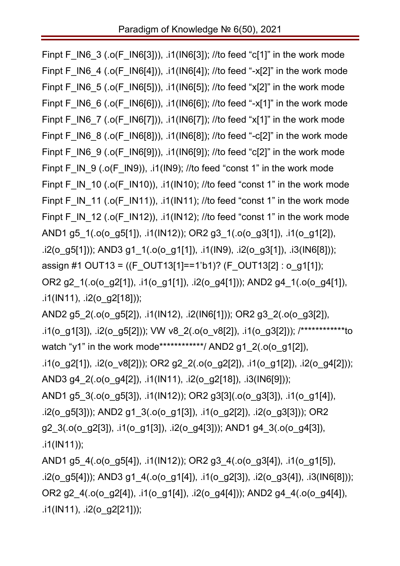Finpt F\_IN6\_3 (.o(F\_IN6[3])), .i1(IN6[3]); //to feed "c[1]" in the work mode Finpt F\_IN6\_4 (.o(F\_IN6[4])), .i1(IN6[4]); //to feed "-x[2]" in the work mode Finpt F IN6  $5$  (.o(F IN6[5])), .i1(IN6[5]); //to feed "x[2]" in the work mode Finpt F\_IN6\_6 (.o(F\_IN6[6])), .i1(IN6[6]); //to feed "-x[1]" in the work mode Finpt F\_IN6\_7 (.o(F\_IN6[7])), .i1(IN6[7]); //to feed "x[1]" in the work mode Finpt F\_IN6\_8 (.o(F\_IN6[8])), .i1(IN6[8]); //to feed "-c[2]" in the work mode Finpt F\_IN6\_9 (.o(F\_IN6[9])), .i1(IN6[9]); //to feed "c[2]" in the work mode Finpt F\_IN\_9 (.o(F\_IN9)), .i1(IN9); //to feed "const 1" in the work mode Finpt F\_IN\_10 (.o(F\_IN10)), .i1(IN10); //to feed "const 1" in the work mode Finpt F\_IN\_11 (.o(F\_IN11)), .i1(IN11); //to feed "const 1" in the work mode Finpt F\_IN\_12 (.o(F\_IN12)), .i1(IN12); //to feed "const 1" in the work mode AND1 g5\_1(.o(o\_g5[1]), .i1(IN12)); OR2 g3\_1(.o(o\_g3[1]), .i1(o\_g1[2]), .i2(o\_g5[1])); AND3 g1\_1(.o(o\_g1[1]), .i1(IN9), .i2(o\_g3[1]), .i3(IN6[8])); assign #1 OUT13 = ((F OUT13[1]==1'b1)? (F OUT13[2] : o\_g1[1]); OR2 g2\_1(.o(o\_g2[1]), .i1(o\_g1[1]), .i2(o\_g4[1])); AND2 g4\_1(.o(o\_g4[1]),  $\cdot$ i1(IN11),  $\cdot$ i2(o g2[18]));

AND2 g5\_2(.o(o\_g5[2]), .i1(IN12), .i2(IN6[1])); OR2 g3\_2(.o(o\_g3[2]), .i1(o\_g1[3]), .i2(o\_g5[2])); VW v8\_2(.o(o\_v8[2]), .i1(o\_g3[2])); /\*\*\*\*\*\*\*\*\*\*\*\*to watch "y1" in the work mode\*\*\*\*\*\*\*\*\*\*\*\*/ AND2 g1\_2(.o(o\_g1[2]), .i1(o\_g2[1]), .i2(o\_v8[2])); OR2 g2\_2(.o(o\_g2[2]), .i1(o\_g1[2]), .i2(o\_g4[2])); AND3 g4\_2(.o(o\_g4[2]), .i1(IN11), .i2(o\_g2[18]), .i3(IN6[9])); AND1 g5\_3(.o(o\_g5[3]), .i1(IN12)); OR2 g3[3](.o(o\_g3[3]), .i1(o\_g1[4]), .i2(o\_g5[3])); AND2 g1\_3(.o(o\_g1[3]), .i1(o\_g2[2]), .i2(o\_g3[3])); OR2 g2\_3(.o(o\_g2[3]), .i1(o\_g1[3]), .i2(o\_g4[3])); AND1 g4\_3(.o(o\_g4[3]),

.i1(IN11));

AND1 g5\_4(.o(o\_g5[4]), .i1(IN12)); OR2 g3\_4(.o(o\_g3[4]), .i1(o\_g1[5]), .i2(o\_g5[4])); AND3 g1\_4(.o(o\_g1[4]), .i1(o\_g2[3]), .i2(o\_g3{4]), .i3(IN6[8])); OR2 g2\_4(.o(o\_g2[4]), .i1(o\_g1[4]), .i2(o\_g4[4])); AND2 g4\_4(.o(o\_g4[4]), .i1(IN11),  $.i2(o_g2[21])$ );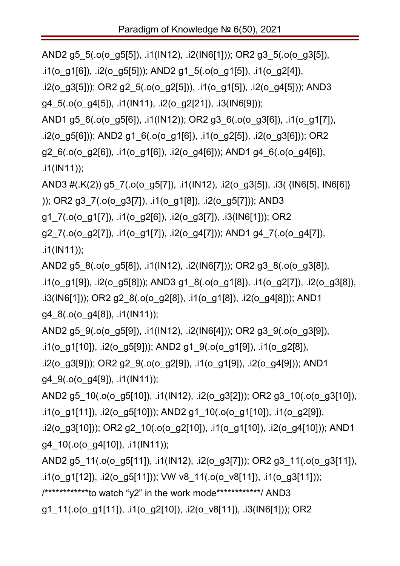AND2 g5\_5(.o(o\_g5[5]), .i1(IN12), .i2(IN6[1])); OR2 g3\_5(.o(o\_g3[5]), .i1(o\_g1[6]), .i2(o\_g5[5])); AND2 g1\_5(.o(o\_g1[5]), .i1(o\_g2[4]), .i2(o\_g3[5])); OR2 g2\_5(.o(o\_g2[5])), .i1(o\_g1[5]), .i2(o\_g4[5])); AND3 g4\_5(.o(o\_g4[5]), .i1(IN11), .i2(o\_g2[21]), .i3(IN6[9])); AND1 g5\_6(.o(o\_g5[6]), .i1(IN12)); OR2 g3\_6(.o(o\_g3[6]), .i1(o\_g1[7]), .i2(o\_g5[6])); AND2 g1\_6(.o(o\_g1[6]), .i1(o\_g2[5]), .i2(o\_g3[6])); OR2 g2\_6(.o(o\_g2[6]), .i1(o\_g1[6]), .i2(o\_g4[6])); AND1 g4\_6(.o(o\_g4[6]), .i1(IN11)); AND3 #(.K(2)) g5\_7(.o(o\_g5[7]), .i1(IN12), .i2(o\_g3[5]), .i3( {IN6[5], IN6[6]}

)); OR2 g3\_7(.o(o\_g3[7]), .i1(o\_g1[8]), .i2(o\_g5[7])); AND3 g1\_7(.o(o\_g1[7]), .i1(o\_g2[6]), .i2(o\_g3[7]), .i3(IN6[1])); OR2 g2\_7(.o(o\_g2[7]), .i1(o\_g1[7]), .i2(o\_g4[7])); AND1 g4\_7(.o(o\_g4[7]), .i1(IN11));

AND2 g5\_8(.o(o\_g5[8]), .i1(IN12), .i2(IN6[7])); OR2 g3\_8(.o(o\_g3[8]), .i1(o\_g1[9]), .i2(o\_g5[8])); AND3 g1\_8(.o(o\_g1[8]), .i1(o\_g2[7]), .i2(o\_g3[8]), .i3(IN6[1])); OR2 g2\_8(.o(o\_g2[8]), .i1(o\_g1[8]), .i2(o\_g4[8])); AND1 g4\_8(.o(o\_g4[8]), .i1(IN11));

AND2 g5\_9(.o(o\_g5[9]), .i1(IN12), .i2(IN6[4])); OR2 g3\_9(.o(o\_g3[9]), .i1(o\_g1[10]), .i2(o\_g5[9])); AND2 g1\_9(.o(o\_g1[9]), .i1(o\_g2[8]),

.i2(o\_g3[9])); OR2 g2\_9(.o(o\_g2[9]), .i1(o\_g1[9]), .i2(o\_g4[9])); AND1 g4\_9(.o(o\_g4[9]), .i1(IN11));

AND2 g5\_10(.o(o\_g5[10]), .i1(IN12), .i2(o\_g3[2])); OR2 g3\_10(.o(o\_g3[10]), .i1(o\_g1[11]), .i2(o\_g5[10])); AND2 g1\_10(.o(o\_g1[10]), .i1(o\_g2[9]), .i2(o\_g3[10])); OR2 g2\_10(.o(o\_g2[10]), .i1(o\_g1[10]), .i2(o\_g4[10])); AND1 g4\_10(.o(o\_g4[10]), .i1(IN11));

AND2 g5\_11(.o(o\_g5[11]), .i1(IN12), .i2(o\_g3[7])); OR2 g3\_11(.o(o\_g3[11]), .i1(o\_g1[12]), .i2(o\_g5[11])); VW v8\_11(.o(o\_v8[11]), .i1(o\_g3[11])); /\*\*\*\*\*\*\*\*\*\*\*\*to watch "y2" in the work mode\*\*\*\*\*\*\*\*\*\*\*\*/ AND3 g1\_11(.o(o\_g1[11]), .i1(o\_g2[10]), .i2(o\_v8[11]), .i3(IN6[1])); OR2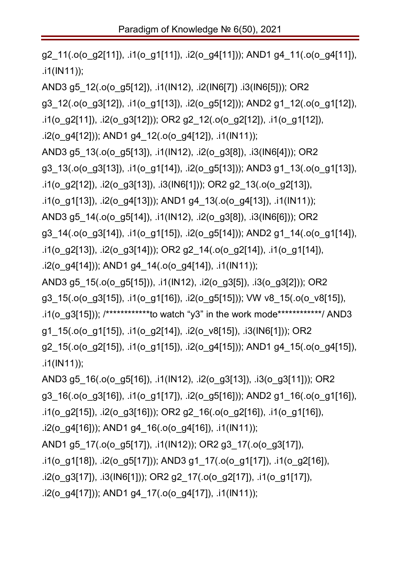g2\_11(.o(o\_g2[11]), .i1(o\_g1[11]), .i2(o\_g4[11])); AND1 g4\_11(.o(o\_g4[11]), .i1(IN11)); AND3 g5\_12(.o(o\_g5[12]), .i1(IN12), .i2(IN6[7]) .i3(IN6[5])); OR2 g3\_12(.o(o\_g3[12]), .i1(o\_g1[13]), .i2(o\_g5[12])); AND2 g1\_12(.o(o\_g1[12]), .i1(o\_g2[11]), .i2(o\_g3[12])); OR2 g2\_12(.o(o\_g2[12]), .i1(o\_g1[12]), .i2(o\_g4[12])); AND1 g4\_12(.o(o\_g4[12]), .i1(IN11)); AND3 g5\_13(.o(o\_g5[13]), .i1(IN12), .i2(o\_g3[8]), .i3(IN6[4])); OR2 g3\_13(.o(o\_g3[13]), .i1(o\_g1[14]), .i2(o\_g5[13])); AND3 g1\_13(.o(o\_g1[13]), .i1(o\_g2[12]), .i2(o\_g3[13]), .i3(IN6[1])); OR2 g2\_13(.o(o\_g2[13]), .i1(o\_g1[13]), .i2(o\_g4[13])); AND1 g4\_13(.o(o\_g4[13]), .i1(IN11)); AND3 g5\_14(.o(o\_g5[14]), .i1(IN12), .i2(o\_g3[8]), .i3(IN6[6])); OR2 g3\_14(.o(o\_g3[14]), .i1(o\_g1[15]), .i2(o\_g5[14])); AND2 g1\_14(.o(o\_g1[14]), .i1(o\_g2[13]), .i2(o\_g3[14])); OR2 g2\_14(.o(o\_g2[14]), .i1(o\_g1[14]), .i2(o\_g4[14])); AND1 g4\_14(.o(o\_g4[14]), .i1(IN11)); AND3 g5\_15(.o(o\_g5[15])), .i1(IN12), .i2(o\_g3[5]), .i3(o\_g3[2])); OR2 g3\_15(.o(o\_g3[15]), .i1(o\_g1[16]), .i2(o\_g5[15])); VW v8\_15(.o(o\_v8[15]), .i1(o\_g3[15])); /\*\*\*\*\*\*\*\*\*\*\*\*\*to watch "y3" in the work mode\*\*\*\*\*\*\*\*\*\*\*\*\*/ AND3 g1\_15(.o(o\_g1[15]), .i1(o\_g2[14]), .i2(o\_v8[15]), .i3(IN6[1])); OR2 g2\_15(.o(o\_g2[15]), .i1(o\_g1[15]), .i2(o\_g4[15])); AND1 g4\_15(.o(o\_g4[15]), .i1(IN11)); AND3 g5\_16(.o(o\_g5[16]), .i1(IN12), .i2(o\_g3[13]), .i3(o\_g3[11])); OR2 g3\_16(.o(o\_g3[16]), .i1(o\_g1[17]), .i2(o\_g5[16])); AND2 g1\_16(.o(o\_g1[16]), .i1(o\_g2[15]), .i2(o\_g3[16])); OR2 g2\_16(.o(o\_g2[16]), .i1(o\_g1[16]), .i2(o\_g4[16])); AND1 g4\_16(.o(o\_g4[16]), .i1(IN11)); AND1 g5\_17(.o(o\_g5[17]), .i1(IN12)); OR2 g3\_17(.o(o\_g3[17]), .i1(o\_g1[18]), .i2(o\_g5[17])); AND3 g1\_17(.o(o\_g1[17]), .i1(o\_g2[16]), .i2(o\_g3[17]), .i3(IN6[1])); OR2 g2\_17(.o(o\_g2[17]), .i1(o\_g1[17]), .i2(o\_g4[17])); AND1 g4\_17(.o(o\_g4[17]), .i1(IN11));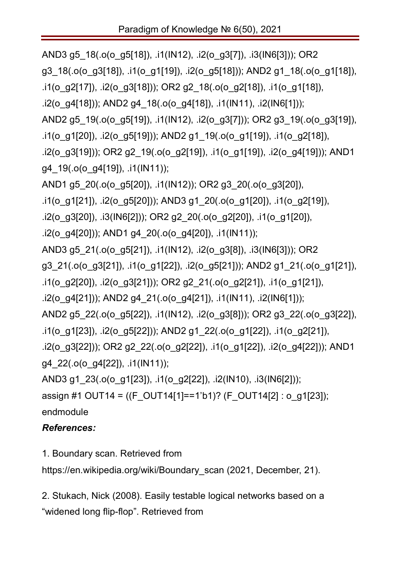```
AND3 g5_18(.o(o_g5[18]), .i1(IN12), .i2(o_g3[7]), .i3(IN6[3])); OR2 
g3_18(.o(o_g3[18]), .i1(o_g1[19]), .i2(o_g5[18])); AND2 g1_18(.o(o_g1[18]), 
.i1(o_g2[17]), .i2(o_g3[18])); OR2 g2_18(.o(o_g2[18]), .i1(o_g1[18]), 
.i2(o_g4[18])); AND2 g4_18(.o(o_g4[18]), .i1(IN11), .i2(IN6[1]));
AND2 g5_19(.o(o_g5[19]), .i1(IN12), .i2(o_g3[7])); OR2 g3_19(.o(o_g3[19]), 
.i1(o_g1[20]), .i2(o_g5[19])); AND2 g1_19(.o(o_g1[19]), .i1(o_g2[18]),
.i2(o_g3[19])); OR2 g2_19(.o(o_g2[19]), .i1(o_g1[19]), .i2(o_g4[19])); AND1 
g4_19(.o(o_g4[19]), .i1(IN11));
AND1 g5_20(.o(o_g5[20]), .i1(IN12)); OR2 g3_20(.o(o_g3[20]), 
.i1(o_g1[21]), .i2(o_g5[20])); AND3 g1_20(.o(o_g1[20]), .i1(o_g2[19]), 
.i2(o_g3[20]), .i3(IN6[2])); OR2 g2_20(.o(o_g2[20]), .i1(o_g1[20]), 
.i2(o_g4[20])); AND1 g4_20(.o(o_g4[20]), .i1(IN11));
AND3 g5_21(.o(o_g5[21]), .i1(IN12), .i2(o_g3[8]), .i3(IN6[3])); OR2 
g3_21(.o(o_g3[21]), .i1(o_g1[22]), .i2(o_g5[21])); AND2 g1_21(.o(o_g1[21]), 
.i1(o_g2[20]), .i2(o_g3[21])); OR2 g2_21(.o(o_g2[21]), .i1(o_g1[21]), 
.i2(o_g4[21])); AND2 g4_21(.o(o_g4[21]), .i1(IN11), .i2(IN6[1]));
AND2 g5_22(.o(o_g5[22]), .i1(IN12), .i2(o_g3[8])); OR2 g3_22(.o(o_g3[22]), 
.i1(o_g1[23]), .i2(o_g5[22])); AND2 g1_22(.o(o_g1[22]), .i1(o_g2[21]), 
.i2(o_g3[22])); OR2 g2_22(.o(o_g2[22]), .i1(o_g1[22]), .i2(o_g4[22])); AND1 
g4_22(.o(o_g4[22]), .i1(IN11));
AND3 g1_23(.o(o_g1[23]), .i1(o_g2[22]), .i2(IN10), .i3(IN6[2])); 
assign #1 OUT14 = ((F_OUT14[1]==1'b1)? (F_OUT14[2] : o_g1[23]);
```
endmodule

### *References:*

1. Boundary scan. Retrieved from

https://en.wikipedia.org/wiki/Boundary\_scan (2021, December, 21).

2. Stukach, Nick (2008). Easily testable logical networks based on a "widened long flip-flop". Retrieved from